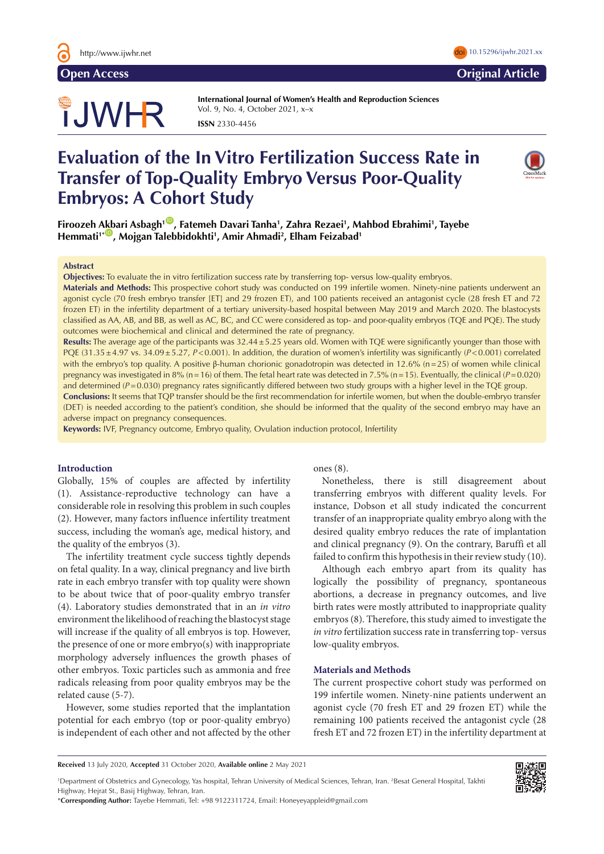# TJWHR

**International Journal of Women's Health and Reproduction Sciences**  Vol. 9, No. 4, October 2021, x–x **ISSN** 2330-4456

# **Evaluation of the In Vitro Fertilization Success Rate in Transfer of Top-Quality Embryo Versus Poor-Quality Embryos: A Cohort Study**



**Firoozeh [Akb](http://orcid.org/0000-0003-0389-3329)ari Asbagh1** [ID](http://orcid.org/0000-0001-9104-898X) **, Fatemeh Davari Tanha1 , Zahra Rezaei1 , Mahbod Ebrahimi1 , Tayebe Hemmati1\*** ID **, Mojgan Talebbidokhti1 , Amir Ahmadi2 , Elham Feizabad1**

#### **Abstract**

**Objectives:** To evaluate the in vitro fertilization success rate by transferring top- versus low-quality embryos.

**Materials and Methods:** This prospective cohort study was conducted on 199 infertile women. Ninety-nine patients underwent an agonist cycle (70 fresh embryo transfer [ET] and 29 frozen ET), and 100 patients received an antagonist cycle (28 fresh ET and 72 frozen ET) in the infertility department of a tertiary university-based hospital between May 2019 and March 2020. The blastocysts classified as AA, AB, and BB, as well as AC, BC, and CC were considered as top- and poor-quality embryos (TQE and PQE). The study outcomes were biochemical and clinical and determined the rate of pregnancy.

**Results:** The average age of the participants was 32.44±5.25 years old. Women with TQE were significantly younger than those with PQE (31.35±4.97 vs. 34.09±5.27, *P*<0.001). In addition, the duration of women's infertility was significantly (*P*<0.001) correlated with the embryo's top quality. A positive β-human chorionic gonadotropin was detected in 12.6% (n=25) of women while clinical pregnancy was investigated in 8% (n=16) of them. The fetal heart rate was detected in 7.5% (n=15). Eventually, the clinical (*P*=0.020) and determined ( $P=0.030$ ) pregnancy rates significantly differed between two study groups with a higher level in the TQE group.

**Conclusions:** It seems that TQP transfer should be the first recommendation for infertile women, but when the double-embryo transfer (DET) is needed according to the patient's condition, she should be informed that the quality of the second embryo may have an adverse impact on pregnancy consequences.

**Keywords:** IVF, Pregnancy outcome, Embryo quality, Ovulation induction protocol, Infertility

# **Introduction**

Globally, 15% of couples are affected by infertility (1). Assistance-reproductive technology can have a considerable role in resolving this problem in such couples (2). However, many factors influence infertility treatment success, including the woman's age, medical history, and the quality of the embryos (3).

The infertility treatment cycle success tightly depends on fetal quality. In a way, clinical pregnancy and live birth rate in each embryo transfer with top quality were shown to be about twice that of poor-quality embryo transfer (4). Laboratory studies demonstrated that in an *in vitro* environment the likelihood of reaching the blastocyst stage will increase if the quality of all embryos is top. However, the presence of one or more embryo(s) with inappropriate morphology adversely influences the growth phases of other embryos. Toxic particles such as ammonia and free radicals releasing from poor quality embryos may be the related cause (5-7).

However, some studies reported that the implantation potential for each embryo (top or poor-quality embryo) is independent of each other and not affected by the other

ones (8).

Nonetheless, there is still disagreement about transferring embryos with different quality levels. For instance, Dobson et all study indicated the concurrent transfer of an inappropriate quality embryo along with the desired quality embryo reduces the rate of implantation and clinical pregnancy (9). On the contrary, Baruffi et all failed to confirm this hypothesis in their review study (10).

Although each embryo apart from its quality has logically the possibility of pregnancy, spontaneous abortions, a decrease in pregnancy outcomes, and live birth rates were mostly attributed to inappropriate quality embryos (8). Therefore, this study aimed to investigate the *in vitro* fertilization success rate in transferring top- versus low-quality embryos.

#### **Materials and Methods**

The current prospective cohort study was performed on 199 infertile women. Ninety-nine patients underwent an agonist cycle (70 fresh ET and 29 frozen ET) while the remaining 100 patients received the antagonist cycle (28 fresh ET and 72 frozen ET) in the infertility department at

**Received** 13 July 2020, **Accepted** 31 October 2020, **Available online** 2 May 2021

<sup>1</sup> Department of Obstetrics and Gynecology, Yas hospital, Tehran University of Medical Sciences, Tehran, Iran. 2 Besat General Hospital, Takhti Highway, Hejrat St., Basij Highway, Tehran, Iran.





**Open Access Original Article**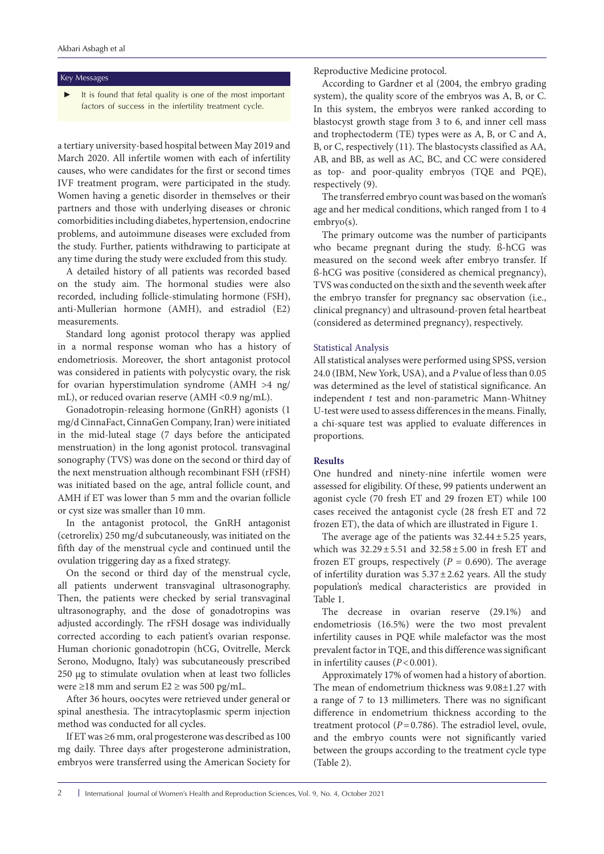### Key Messages

It is found that fetal quality is one of the most important factors of success in the infertility treatment cycle.

a tertiary university-based hospital between May 2019 and March 2020. All infertile women with each of infertility causes, who were candidates for the first or second times IVF treatment program, were participated in the study. Women having a genetic disorder in themselves or their partners and those with underlying diseases or chronic comorbidities including diabetes, hypertension, endocrine problems, and autoimmune diseases were excluded from the study. Further, patients withdrawing to participate at any time during the study were excluded from this study.

A detailed history of all patients was recorded based on the study aim. The hormonal studies were also recorded, including follicle-stimulating hormone (FSH), anti-Mullerian hormone (AMH), and estradiol (E2) measurements.

Standard long agonist protocol therapy was applied in a normal response woman who has a history of endometriosis. Moreover, the short antagonist protocol was considered in patients with polycystic ovary, the risk for ovarian hyperstimulation syndrome (AMH >4 ng/ mL), or reduced ovarian reserve (AMH <0.9 ng/mL).

Gonadotropin‐releasing hormone (GnRH) agonists (1 mg/d CinnaFact, CinnaGen Company, Iran) were initiated in the mid-luteal stage (7 days before the anticipated menstruation) in the long agonist protocol. transvaginal sonography (TVS) was done on the second or third day of the next menstruation although recombinant FSH (rFSH) was initiated based on the age, antral follicle count, and AMH if ET was lower than 5 mm and the ovarian follicle or cyst size was smaller than 10 mm.

In the antagonist protocol, the GnRH antagonist (cetrorelix) 250 mg/d subcutaneously, was initiated on the fifth day of the menstrual cycle and continued until the ovulation triggering day as a fixed strategy.

On the second or third day of the menstrual cycle, all patients underwent transvaginal ultrasonography. Then, the patients were checked by serial transvaginal ultrasonography, and the dose of gonadotropins was adjusted accordingly. The rFSH dosage was individually corrected according to each patient's ovarian response. Human chorionic gonadotropin (hCG, Ovitrelle, Merck Serono, Modugno, Italy) was subcutaneously prescribed 250 μg to stimulate ovulation when at least two follicles were  $\geq$ 18 mm and serum E2  $\geq$  was 500 pg/mL.

After 36 hours, oocytes were retrieved under general or spinal anesthesia. The intracytoplasmic sperm injection method was conducted for all cycles.

If ET was ≥6 mm, oral progesterone was described as 100 mg daily. Three days after progesterone administration, embryos were transferred using the American Society for Reproductive Medicine protocol.

According to Gardner et al (2004, the embryo grading system), the quality score of the embryos was A, B, or C. In this system, the embryos were ranked according to blastocyst growth stage from 3 to 6, and inner cell mass and trophectoderm (TE) types were as A, B, or C and A, B, or C, respectively (11). The blastocysts classified as AA, AB, and BB, as well as AC, BC, and CC were considered as top- and poor-quality embryos (TQE and PQE), respectively (9).

The transferred embryo count was based on the woman's age and her medical conditions, which ranged from 1 to 4 embryo(s).

The primary outcome was the number of participants who became pregnant during the study. ß-hCG was measured on the second week after embryo transfer. If ß-hCG was positive (considered as chemical pregnancy), TVS was conducted on the sixth and the seventh week after the embryo transfer for pregnancy sac observation (i.e., clinical pregnancy) and ultrasound-proven fetal heartbeat (considered as determined pregnancy), respectively.

# Statistical Analysis

All statistical analyses were performed using SPSS, version 24.0 (IBM, New York, USA), and a *P* value of less than 0.05 was determined as the level of statistical significance. An independent *t* test and non-parametric Mann-Whitney U-test were used to assess differences in the means. Finally, a chi-square test was applied to evaluate differences in proportions.

# **Results**

One hundred and ninety-nine infertile women were assessed for eligibility. Of these, 99 patients underwent an agonist cycle (70 fresh ET and 29 frozen ET) while 100 cases received the antagonist cycle (28 fresh ET and 72 frozen ET), the data of which are illustrated in Figure 1.

The average age of the patients was  $32.44 \pm 5.25$  years, which was  $32.29 \pm 5.51$  and  $32.58 \pm 5.00$  in fresh ET and frozen ET groups, respectively  $(P = 0.690)$ . The average of infertility duration was  $5.37 \pm 2.62$  years. All the study population's medical characteristics are provided in Table 1.

The decrease in ovarian reserve (29.1%) and endometriosis (16.5%) were the two most prevalent infertility causes in PQE while malefactor was the most prevalent factor in TQE, and this difference was significant in infertility causes (*P*<0.001).

Approximately 17% of women had a history of abortion. The mean of endometrium thickness was 9.08±1.27 with a range of 7 to 13 millimeters. There was no significant difference in endometrium thickness according to the treatment protocol  $(P=0.786)$ . The estradiol level, ovule, and the embryo counts were not significantly varied between the groups according to the treatment cycle type (Table 2).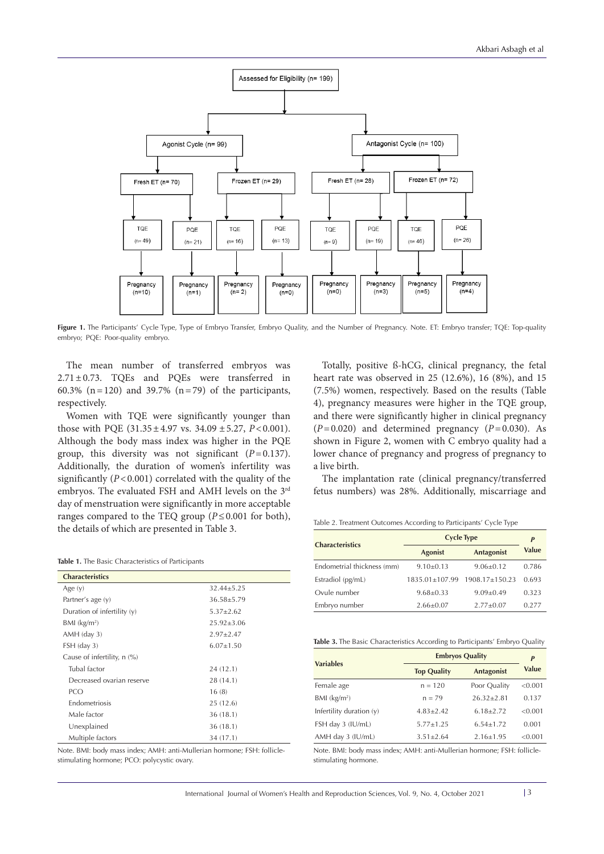

**Figure 1.** The Participants' Cycle Type, Type of Embryo Transfer, Embryo Quality, and the Number of Pregnancy. Note. ET: Embryo transfer; TQE: Top-quality embryo; PQE: Poor-quality embryo.

The mean number of transferred embryos was 2.71±0.73. TQEs and PQEs were transferred in 60.3% ( $n=120$ ) and 39.7% ( $n=79$ ) of the participants, respectively.

Women with TQE were significantly younger than those with PQE (31.35±4.97 vs. 34.09 ±5.27, *P*<0.001). Although the body mass index was higher in the PQE group, this diversity was not significant (*P*=0.137). Additionally, the duration of women's infertility was significantly (*P*<0.001) correlated with the quality of the embryos. The evaluated FSH and AMH levels on the 3<sup>rd</sup> day of menstruation were significantly in more acceptable ranges compared to the TEQ group ( $P \le 0.001$  for both), the details of which are presented in Table 3.

**Table 1.** The Basic Characteristics of Participants

| <b>Characteristics</b>        |                  |
|-------------------------------|------------------|
| Age $(y)$                     | $32.44 \pm 5.25$ |
| Partner's age (y)             | $36.58 \pm 5.79$ |
| Duration of infertility $(y)$ | $5.37 \pm 2.62$  |
| $BM$ (kg/m <sup>2</sup> )     | $25.92 \pm 3.06$ |
| $AMH$ (day 3)                 | $2.97 \pm 2.47$  |
| $FSH$ (day 3)                 | $6.07 \pm 1.50$  |
| Cause of infertility, n (%)   |                  |
| Tubal factor                  | 24 (12.1)        |
| Decreased ovarian reserve     | 28 (14.1)        |
| <b>PCO</b>                    | 16(8)            |
| <b>Endometriosis</b>          | 25 (12.6)        |
| Male factor                   | 36(18.1)         |
| Unexplained                   | 36(18.1)         |
| Multiple factors              | 34 (17.1)        |

Note. BMI: body mass index; AMH: anti-Mullerian hormone; FSH: folliclestimulating hormone; PCO: polycystic ovary.

Totally, positive ß-hCG, clinical pregnancy, the fetal heart rate was observed in 25 (12.6%), 16 (8%), and 15 (7.5%) women, respectively. Based on the results (Table 4), pregnancy measures were higher in the TQE group, and there were significantly higher in clinical pregnancy  $(P=0.020)$  and determined pregnancy  $(P=0.030)$ . As shown in Figure 2, women with C embryo quality had a lower chance of pregnancy and progress of pregnancy to a live birth.

The implantation rate (clinical pregnancy/transferred fetus numbers) was 28%. Additionally, miscarriage and

Table 2. Treatment Outcomes According to Participants' Cycle Type

| <b>Characteristics</b>     | <b>Cycle Type</b> |                   | P     |
|----------------------------|-------------------|-------------------|-------|
|                            | Agonist           | <b>Antagonist</b> | Value |
| Endometrial thickness (mm) | $9.10 \pm 0.13$   | $9.06 \pm 0.12$   | 0.786 |
| Estradiol (pg/mL)          | 1835.01±107.99    | 1908.17±150.23    | 0.693 |
| Ovule number               | $9.68 \pm 0.33$   | $9.09 \pm 0.49$   | 0.323 |
| Embryo number              | $2.66 \pm 0.07$   | $2.77 \pm 0.07$   | 0.277 |

| Table 3. The Basic Characteristics According to Participants' Embryo Quality |  |
|------------------------------------------------------------------------------|--|
|------------------------------------------------------------------------------|--|

| <b>Variables</b>           | <b>Embryos Quality</b> |                   | P       |
|----------------------------|------------------------|-------------------|---------|
|                            | <b>Top Quality</b>     | <b>Antagonist</b> | Value   |
| Female age                 | $n = 120$              | Poor Quality      | < 0.001 |
| $BMI$ (kg/m <sup>2</sup> ) | $n = 79$               | $26.32 + 2.81$    | 0.137   |
| Infertility duration $(y)$ | $4.83 \pm 2.42$        | $6.18 \pm 2.72$   | < 0.001 |
| FSH day 3 (IU/mL)          | $5.77 \pm 1.25$        | $6.54 \pm 1.72$   | 0.001   |
| AMH day 3 (IU/mL)          | $3.51 \pm 2.64$        | $2.16 \pm 1.95$   | < 0.001 |

Note. BMI: body mass index; AMH: anti-Mullerian hormone; FSH: folliclestimulating hormone.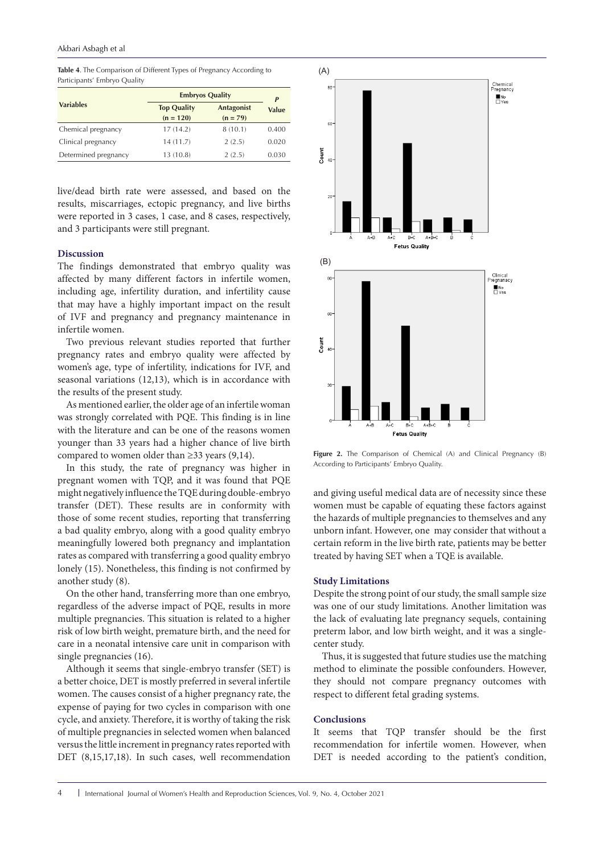**Table 4**. The Comparison of Different Types of Pregnancy According to Participants' Embryo Quality

|                      | <b>Embryos Quality</b>            |                                 | P     |
|----------------------|-----------------------------------|---------------------------------|-------|
| <b>Variables</b>     | <b>Top Quality</b><br>$(n = 120)$ | <b>Antagonist</b><br>$(n = 79)$ | Value |
| Chemical pregnancy   | 17(14.2)                          | 8(10.1)                         | 0.400 |
| Clinical pregnancy   | 14 (11.7)                         | 2(2.5)                          | 0.020 |
| Determined pregnancy | 13(10.8)                          | 2(2.5)                          | 0.030 |

live/dead birth rate were assessed, and based on the results, miscarriages, ectopic pregnancy, and live births were reported in 3 cases, 1 case, and 8 cases, respectively, and 3 participants were still pregnant.

# **Discussion**

The findings demonstrated that embryo quality was affected by many different factors in infertile women, including age, infertility duration, and infertility cause that may have a highly important impact on the result of IVF and pregnancy and pregnancy maintenance in infertile women.

Two previous relevant studies reported that further pregnancy rates and embryo quality were affected by women's age, type of infertility, indications for IVF, and seasonal variations (12,13), which is in accordance with the results of the present study.

As mentioned earlier, the older age of an infertile woman was strongly correlated with PQE. This finding is in line with the literature and can be one of the reasons women younger than 33 years had a higher chance of live birth compared to women older than  $\geq$ 33 years (9,14).

In this study, the rate of pregnancy was higher in pregnant women with TQP, and it was found that PQE might negatively influence the TQE during double-embryo transfer (DET). These results are in conformity with those of some recent studies, reporting that transferring a bad quality embryo, along with a good quality embryo meaningfully lowered both pregnancy and implantation rates as compared with transferring a good quality embryo lonely (15). Nonetheless, this finding is not confirmed by another study (8).

On the other hand, transferring more than one embryo, regardless of the adverse impact of PQE, results in more multiple pregnancies. This situation is related to a higher risk of low birth weight, premature birth, and the need for care in a neonatal intensive care unit in comparison with single pregnancies (16).

Although it seems that single-embryo transfer (SET) is a better choice, DET is mostly preferred in several infertile women. The causes consist of a higher pregnancy rate, the expense of paying for two cycles in comparison with one cycle, and anxiety. Therefore, it is worthy of taking the risk of multiple pregnancies in selected women when balanced versus the little increment in pregnancy rates reported with DET (8,15,17,18). In such cases, well recommendation



Figure 2. The Comparison of Chemical (A) and Clinical Pregnancy (B) According to Participants' Embryo Quality.

and giving useful medical data are of necessity since these women must be capable of equating these factors against the hazards of multiple pregnancies to themselves and any unborn infant. However, one may consider that without a certain reform in the live birth rate, patients may be better treated by having SET when a TQE is available.

### **Study Limitations**

Despite the strong point of our study, the small sample size was one of our study limitations. Another limitation was the lack of evaluating late pregnancy sequels, containing preterm labor, and low birth weight, and it was a singlecenter study.

Thus, it is suggested that future studies use the matching method to eliminate the possible confounders. However, they should not compare pregnancy outcomes with respect to different fetal grading systems.

# **Conclusions**

It seems that TQP transfer should be the first recommendation for infertile women. However, when DET is needed according to the patient's condition,